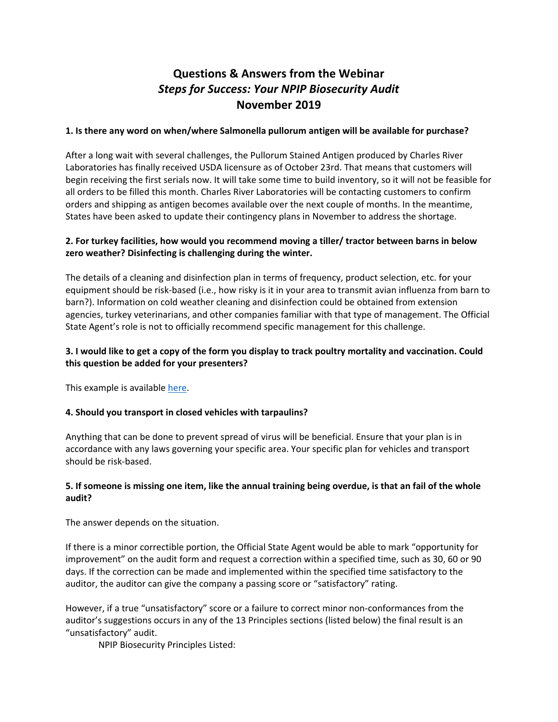# **Questions & Answers from the Webinar** *Steps for Success: Your NPIP Biosecurity Audit*  **November 2019**

#### **1. Is there any word on when/where Salmonella pullorum antigen will be available for purchase?**

After a long wait with several challenges, the Pullorum Stained Antigen produced by Charles River Laboratories has finally received USDA licensure as of October 23rd. That means that customers will begin receiving the first serials now. It will take some time to build inventory, so it will not be feasible for all orders to be filled this month. Charles River Laboratories will be contacting customers to confirm orders and shipping as antigen becomes available over the next couple of months. In the meantime, States have been asked to update their contingency plans in November to address the shortage.

## **2. For turkey facilities, how would you recommend moving a tiller/ tractor between barns in below zero weather? Disinfecting is challenging during the winter.**

The details of a cleaning and disinfection plan in terms of frequency, product selection, etc. for your equipment should be risk-based (i.e., how risky is it in your area to transmit avian influenza from barn to barn?). Information on cold weather cleaning and disinfection could be obtained from extension agencies, turkey veterinarians, and other companies familiar with that type of management. The Official State Agent's role is not to officially recommend specific management for this challenge.

## 3. I would like to get a copy of the form you display to track poultry mortality and vaccination. Could **this question be added for your presenters?**

This example is available here.

## **4. Should you transport in closed vehicles with tarpaulins?**

Anything that can be done to prevent spread of virus will be beneficial. Ensure that your plan is in accordance with any laws governing your specific area. Your specific plan for vehicles and transport should be risk‐based.

## 5. If someone is missing one item, like the annual training being overdue, is that an fail of the whole **audit?**

The answer depends on the situation.

If there is a minor correctible portion, the Official State Agent would be able to mark "opportunity for improvement" on the audit form and request a correction within a specified time, such as 30, 60 or 90 days. If the correction can be made and implemented within the specified time satisfactory to the auditor, the auditor can give the company a passing score or "satisfactory" rating.

However, if a true "unsatisfactory" score or a failure to correct minor non‐conformances from the auditor's suggestions occurs in any of the 13 Principles sections (listed below) the final result is an "unsatisfactory" audit.

NPIP Biosecurity Principles Listed: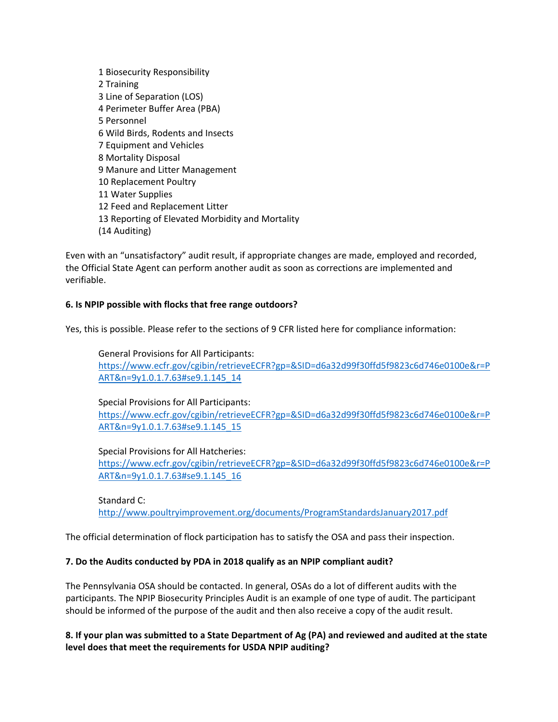Biosecurity Responsibility Training Line of Separation (LOS) Perimeter Buffer Area (PBA) Personnel Wild Birds, Rodents and Insects Equipment and Vehicles Mortality Disposal Manure and Litter Management Replacement Poultry Water Supplies Feed and Replacement Litter Reporting of Elevated Morbidity and Mortality (14 Auditing)

Even with an "unsatisfactory" audit result, if appropriate changes are made, employed and recorded, the Official State Agent can perform another audit as soon as corrections are implemented and verifiable.

## **6. Is NPIP possible with flocks that free range outdoors?**

Yes, this is possible. Please refer to the sections of 9 CFR listed here for compliance information:

General Provisions for All Participants: https://www.ecfr.gov/cgibin/retrieveECFR?gp=&SID=d6a32d99f30ffd5f9823c6d746e0100e&r=P ART&n=9y1.0.1.7.63#se9.1.145\_14

Special Provisions for All Participants: https://www.ecfr.gov/cgibin/retrieveECFR?gp=&SID=d6a32d99f30ffd5f9823c6d746e0100e&r=P ART&n=9y1.0.1.7.63#se9.1.145\_15

Special Provisions for All Hatcheries: https://www.ecfr.gov/cgibin/retrieveECFR?gp=&SID=d6a32d99f30ffd5f9823c6d746e0100e&r=P ART&n=9y1.0.1.7.63#se9.1.145\_16

Standard C: http://www.poultryimprovement.org/documents/ProgramStandardsJanuary2017.pdf

The official determination of flock participation has to satisfy the OSA and pass their inspection.

#### **7. Do the Audits conducted by PDA in 2018 qualify as an NPIP compliant audit?**

The Pennsylvania OSA should be contacted. In general, OSAs do a lot of different audits with the participants. The NPIP Biosecurity Principles Audit is an example of one type of audit. The participant should be informed of the purpose of the audit and then also receive a copy of the audit result.

8. If your plan was submitted to a State Department of Ag (PA) and reviewed and audited at the state **level does that meet the requirements for USDA NPIP auditing?**